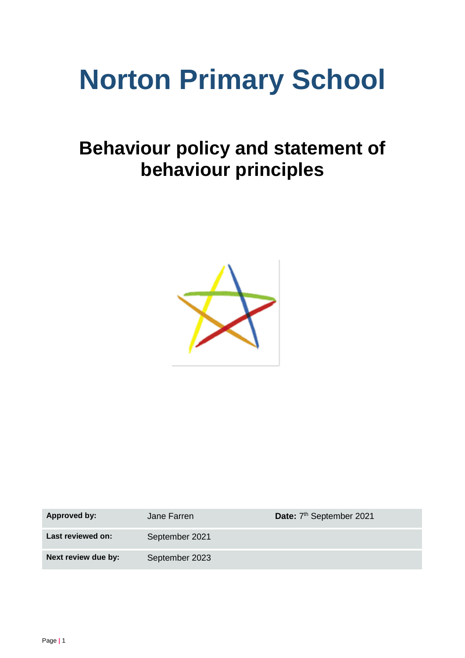# **Norton Primary School**

# **Behaviour policy and statement of behaviour principles**



| <b>Approved by:</b> | Jane Farren    | Date: 7 <sup>th</sup> September 2021 |
|---------------------|----------------|--------------------------------------|
| Last reviewed on:   | September 2021 |                                      |
| Next review due by: | September 2023 |                                      |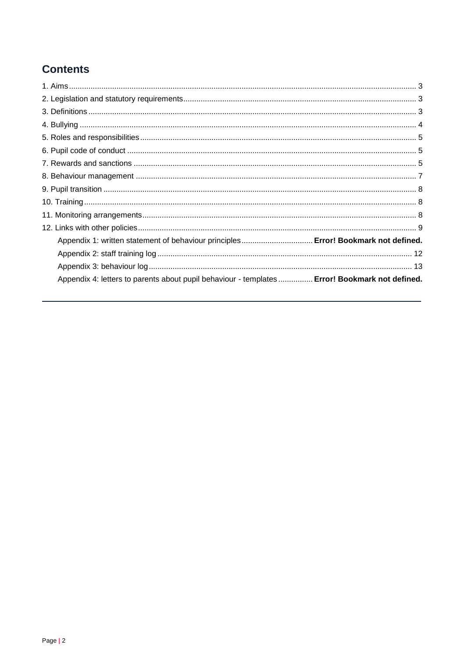# **Contents**

<span id="page-1-0"></span>

| Appendix 1: written statement of behaviour principles Error! Bookmark not defined.             |  |
|------------------------------------------------------------------------------------------------|--|
|                                                                                                |  |
|                                                                                                |  |
| Appendix 4: letters to parents about pupil behaviour - templates  Error! Bookmark not defined. |  |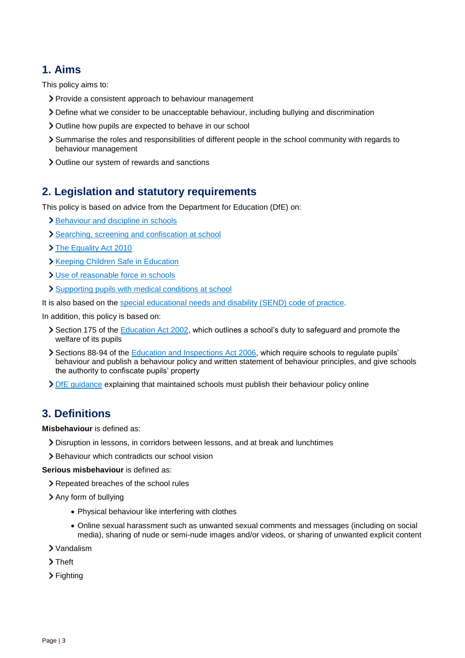# **1. Aims**

This policy aims to:

- > Provide a consistent approach to behaviour management
- Define what we consider to be unacceptable behaviour, including bullying and discrimination
- Outline how pupils are expected to behave in our school
- Summarise the roles and responsibilities of different people in the school community with regards to behaviour management
- > Outline our system of rewards and sanctions

# <span id="page-2-0"></span>**2. Legislation and statutory requirements**

This policy is based on advice from the Department for Education (DfE) on:

- > [Behaviour and discipline in schools](https://www.gov.uk/government/publications/behaviour-and-discipline-in-schools)
- [Searching, screening and confiscation at school](https://www.gov.uk/government/publications/searching-screening-and-confiscation)
- > [The Equality Act 2010](https://www.gov.uk/government/publications/equality-act-2010-advice-for-schools)
- > [Keeping Children Safe in Education](https://www.gov.uk/government/publications/keeping-children-safe-in-education--2)
- [Use of reasonable force in schools](https://www.gov.uk/government/publications/use-of-reasonable-force-in-schools)
- [Supporting pupils with medical conditions at school](https://www.gov.uk/government/publications/supporting-pupils-at-school-with-medical-conditions--3)

It is also based on the [special educational needs and disability \(SEND\) code of practice.](https://www.gov.uk/government/publications/send-code-of-practice-0-to-25)

In addition, this policy is based on:

- Section 175 of the [Education Act 2002,](http://www.legislation.gov.uk/ukpga/2002/32/section/175) which outlines a school's duty to safeguard and promote the welfare of its pupils
- Sections 88-94 of the [Education and Inspections Act 2006,](http://www.legislation.gov.uk/ukpga/2006/40/section/88) which require schools to regulate pupils' behaviour and publish a behaviour policy and written statement of behaviour principles, and give schools the authority to confiscate pupils' property
- [DfE guidance](https://www.gov.uk/guidance/what-maintained-schools-must-publish-online#behaviour-policy) explaining that maintained schools must publish their behaviour policy online

#### <span id="page-2-1"></span>**3. Definitions**

**Misbehaviour** is defined as:

- Disruption in lessons, in corridors between lessons, and at break and lunchtimes
- Behaviour which contradicts our school vision

**Serious misbehaviour** is defined as:

Repeated breaches of the school rules

Any form of bullying

- Physical behaviour like interfering with clothes
- Online sexual harassment such as unwanted sexual comments and messages (including on social media), sharing of nude or semi-nude images and/or videos, or sharing of unwanted explicit content
- Vandalism
- > Theft
- > Fighting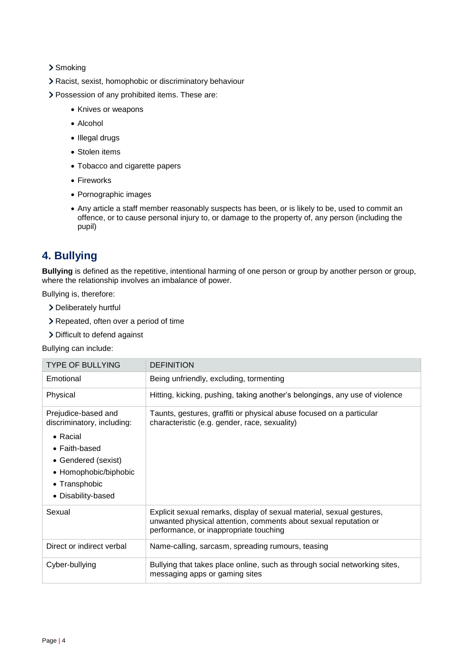#### > Smoking

Racist, sexist, homophobic or discriminatory behaviour

- Possession of any prohibited items. These are:
	- Knives or weapons
	- Alcohol
	- Illegal drugs
	- Stolen items
	- Tobacco and cigarette papers
	- Fireworks
	- Pornographic images
	- Any article a staff member reasonably suspects has been, or is likely to be, used to commit an offence, or to cause personal injury to, or damage to the property of, any person (including the pupil)

# <span id="page-3-0"></span>**4. Bullying**

**Bullying** is defined as the repetitive, intentional harming of one person or group by another person or group, where the relationship involves an imbalance of power.

Bullying is, therefore:

- Deliberately hurtful
- Repeated, often over a period of time
- > Difficult to defend against

Bullying can include:

| <b>TYPE OF BULLYING</b>                                                                                                                                                               | <b>DEFINITION</b>                                                                                                                                                                   |
|---------------------------------------------------------------------------------------------------------------------------------------------------------------------------------------|-------------------------------------------------------------------------------------------------------------------------------------------------------------------------------------|
| Emotional                                                                                                                                                                             | Being unfriendly, excluding, tormenting                                                                                                                                             |
| Physical                                                                                                                                                                              | Hitting, kicking, pushing, taking another's belongings, any use of violence                                                                                                         |
| Prejudice-based and<br>discriminatory, including:<br>$\bullet$ Racial<br>$\bullet$ Faith-based<br>• Gendered (sexist)<br>• Homophobic/biphobic<br>• Transphobic<br>• Disability-based | Taunts, gestures, graffiti or physical abuse focused on a particular<br>characteristic (e.g. gender, race, sexuality)                                                               |
| Sexual                                                                                                                                                                                | Explicit sexual remarks, display of sexual material, sexual gestures,<br>unwanted physical attention, comments about sexual reputation or<br>performance, or inappropriate touching |
| Direct or indirect verbal                                                                                                                                                             | Name-calling, sarcasm, spreading rumours, teasing                                                                                                                                   |
| Cyber-bullying                                                                                                                                                                        | Bullying that takes place online, such as through social networking sites,<br>messaging apps or gaming sites                                                                        |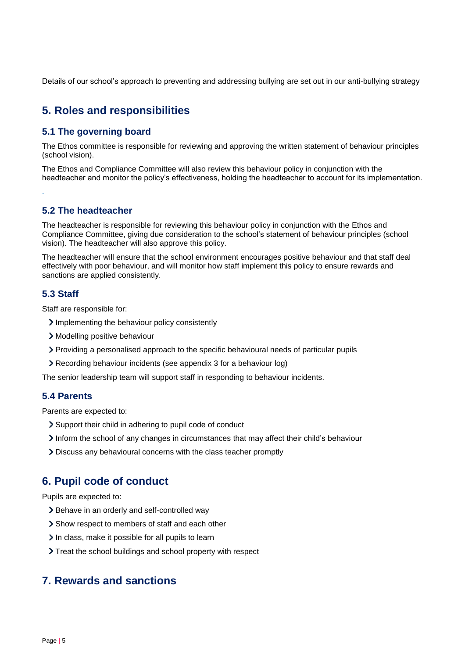Details of our school's approach to preventing and addressing bullying are set out in our anti-bullying strategy

# <span id="page-4-0"></span>**5. Roles and responsibilities**

#### **5.1 The governing board**

The Ethos committee is responsible for reviewing and approving the written statement of behaviour principles (school vision).

The Ethos and Compliance Committee will also review this behaviour policy in conjunction with the headteacher and monitor the policy's effectiveness, holding the headteacher to account for its implementation.

#### **5.2 The headteacher**

The headteacher is responsible for reviewing this behaviour policy in conjunction with the Ethos and Compliance Committee, giving due consideration to the school's statement of behaviour principles (school vision). The headteacher will also approve this policy.

The headteacher will ensure that the school environment encourages positive behaviour and that staff deal effectively with poor behaviour, and will monitor how staff implement this policy to ensure rewards and sanctions are applied consistently.

#### **5.3 Staff**

.

Staff are responsible for:

- Implementing the behaviour policy consistently
- Modelling positive behaviour
- Providing a personalised approach to the specific behavioural needs of particular pupils
- Recording behaviour incidents (see appendix 3 for a behaviour log)

The senior leadership team will support staff in responding to behaviour incidents.

#### **5.4 Parents**

Parents are expected to:

- Support their child in adhering to pupil code of conduct
- Inform the school of any changes in circumstances that may affect their child's behaviour
- Discuss any behavioural concerns with the class teacher promptly

# <span id="page-4-1"></span>**6. Pupil code of conduct**

Pupils are expected to:

- > Behave in an orderly and self-controlled way
- Show respect to members of staff and each other
- In class, make it possible for all pupils to learn
- > Treat the school buildings and school property with respect

#### <span id="page-4-2"></span>**7. Rewards and sanctions**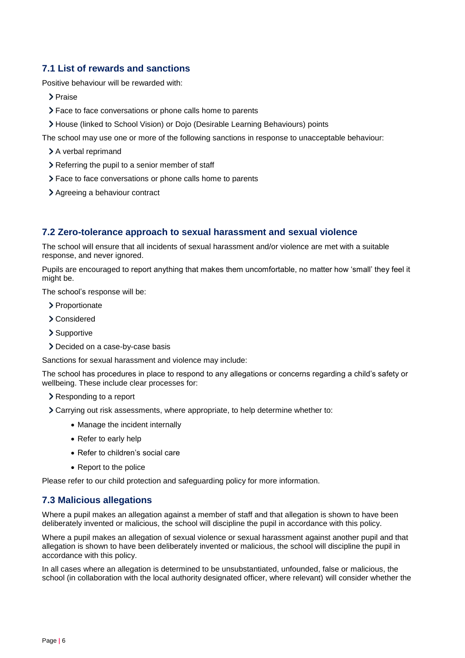#### **7.1 List of rewards and sanctions**

Positive behaviour will be rewarded with:

- > Praise
- Face to face conversations or phone calls home to parents
- House (linked to School Vision) or Dojo (Desirable Learning Behaviours) points

The school may use one or more of the following sanctions in response to unacceptable behaviour:

- > A verbal reprimand
- > Referring the pupil to a senior member of staff
- Face to face conversations or phone calls home to parents
- > Agreeing a behaviour contract

#### **7.2 Zero-tolerance approach to sexual harassment and sexual violence**

The school will ensure that all incidents of sexual harassment and/or violence are met with a suitable response, and never ignored.

Pupils are encouraged to report anything that makes them uncomfortable, no matter how 'small' they feel it might be.

The school's response will be:

- > Proportionate
- Considered
- > Supportive
- > Decided on a case-by-case basis

Sanctions for sexual harassment and violence may include:

The school has procedures in place to respond to any allegations or concerns regarding a child's safety or wellbeing. These include clear processes for:

- Responding to a report
- Carrying out risk assessments, where appropriate, to help determine whether to:
	- Manage the incident internally
	- Refer to early help
	- Refer to children's social care
	- Report to the police

Please refer to our child protection and safeguarding policy for more information.

#### **7.3 Malicious allegations**

Where a pupil makes an allegation against a member of staff and that allegation is shown to have been deliberately invented or malicious, the school will discipline the pupil in accordance with this policy.

Where a pupil makes an allegation of sexual violence or sexual harassment against another pupil and that allegation is shown to have been deliberately invented or malicious, the school will discipline the pupil in accordance with this policy.

In all cases where an allegation is determined to be unsubstantiated, unfounded, false or malicious, the school (in collaboration with the local authority designated officer, where relevant) will consider whether the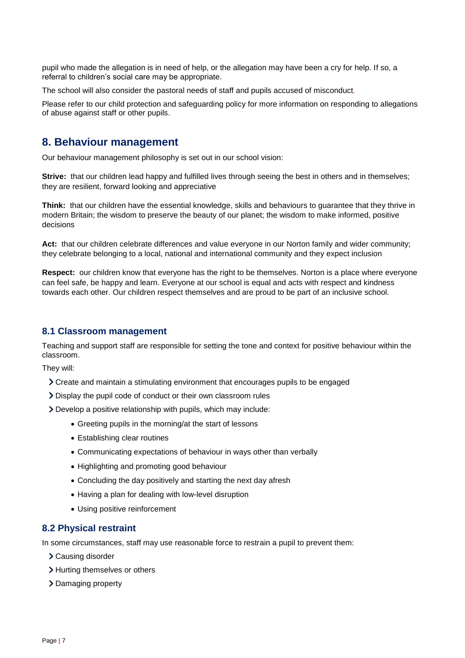pupil who made the allegation is in need of help, or the allegation may have been a cry for help. If so, a referral to children's social care may be appropriate.

The school will also consider the pastoral needs of staff and pupils accused of misconduct.

Please refer to our child protection and safeguarding policy for more information on responding to allegations of abuse against staff or other pupils.

#### <span id="page-6-0"></span>**8. Behaviour management**

Our behaviour management philosophy is set out in our school vision:

**Strive:** that our children lead happy and fulfilled lives through seeing the best in others and in themselves; they are resilient, forward looking and appreciative

**Think:** that our children have the essential knowledge, skills and behaviours to guarantee that they thrive in modern Britain; the wisdom to preserve the beauty of our planet; the wisdom to make informed, positive decisions

**Act:** that our children celebrate differences and value everyone in our Norton family and wider community; they celebrate belonging to a local, national and international community and they expect inclusion

**Respect:** our children know that everyone has the right to be themselves. Norton is a place where everyone can feel safe, be happy and learn. Everyone at our school is equal and acts with respect and kindness towards each other. Our children respect themselves and are proud to be part of an inclusive school.

#### **8.1 Classroom management**

Teaching and support staff are responsible for setting the tone and context for positive behaviour within the classroom.

They will:

- Create and maintain a stimulating environment that encourages pupils to be engaged
- Display the pupil code of conduct or their own classroom rules

Develop a positive relationship with pupils, which may include:

- Greeting pupils in the morning/at the start of lessons
- Establishing clear routines
- Communicating expectations of behaviour in ways other than verbally
- Highlighting and promoting good behaviour
- Concluding the day positively and starting the next day afresh
- Having a plan for dealing with low-level disruption
- Using positive reinforcement

#### **8.2 Physical restraint**

In some circumstances, staff may use reasonable force to restrain a pupil to prevent them:

- Causing disorder
- > Hurting themselves or others
- > Damaging property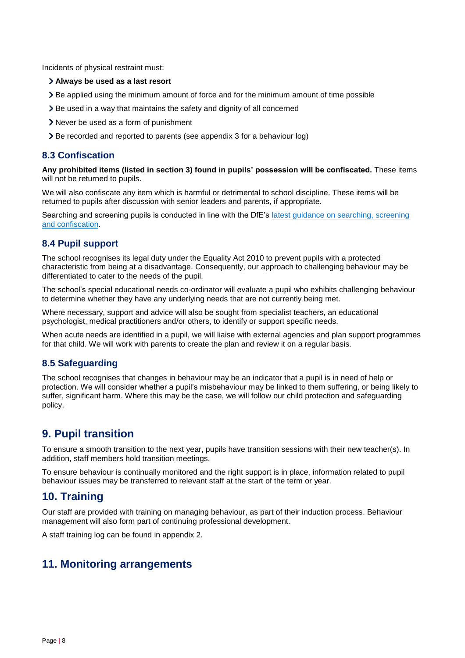Incidents of physical restraint must:

#### **Always be used as a last resort**

- Be applied using the minimum amount of force and for the minimum amount of time possible
- Be used in a way that maintains the safety and dignity of all concerned
- Never be used as a form of punishment
- Be recorded and reported to parents (see appendix 3 for a behaviour log)

#### **8.3 Confiscation**

**Any prohibited items (listed in section 3) found in pupils' possession will be confiscated.** These items will not be returned to pupils.

We will also confiscate any item which is harmful or detrimental to school discipline. These items will be returned to pupils after discussion with senior leaders and parents, if appropriate.

Searching and screening pupils is conducted in line with the DfE's latest guidance on searching, screening [and confiscation.](https://www.gov.uk/government/publications/searching-screening-and-confiscation)

#### **8.4 Pupil support**

The school recognises its legal duty under the Equality Act 2010 to prevent pupils with a protected characteristic from being at a disadvantage. Consequently, our approach to challenging behaviour may be differentiated to cater to the needs of the pupil.

The school's special educational needs co-ordinator will evaluate a pupil who exhibits challenging behaviour to determine whether they have any underlying needs that are not currently being met.

Where necessary, support and advice will also be sought from specialist teachers, an educational psychologist, medical practitioners and/or others, to identify or support specific needs.

When acute needs are identified in a pupil, we will liaise with external agencies and plan support programmes for that child. We will work with parents to create the plan and review it on a regular basis.

#### **8.5 Safeguarding**

The school recognises that changes in behaviour may be an indicator that a pupil is in need of help or protection. We will consider whether a pupil's misbehaviour may be linked to them suffering, or being likely to suffer, significant harm. Where this may be the case, we will follow our child protection and safeguarding policy.

# <span id="page-7-0"></span>**9. Pupil transition**

To ensure a smooth transition to the next year, pupils have transition sessions with their new teacher(s). In addition, staff members hold transition meetings.

To ensure behaviour is continually monitored and the right support is in place, information related to pupil behaviour issues may be transferred to relevant staff at the start of the term or year.

# <span id="page-7-1"></span>**10. Training**

Our staff are provided with training on managing behaviour, as part of their induction process. Behaviour management will also form part of continuing professional development.

A staff training log can be found in appendix 2.

# <span id="page-7-2"></span>**11. Monitoring arrangements**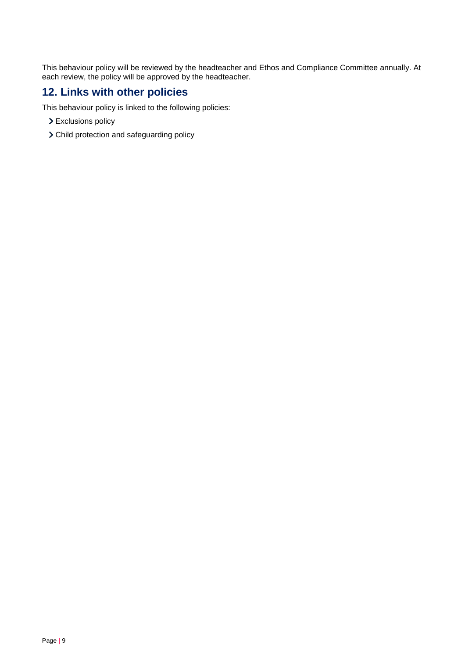This behaviour policy will be reviewed by the headteacher and Ethos and Compliance Committee annually. At each review, the policy will be approved by the headteacher.

# <span id="page-8-0"></span>**12. Links with other policies**

This behaviour policy is linked to the following policies:

- > Exclusions policy
- Child protection and safeguarding policy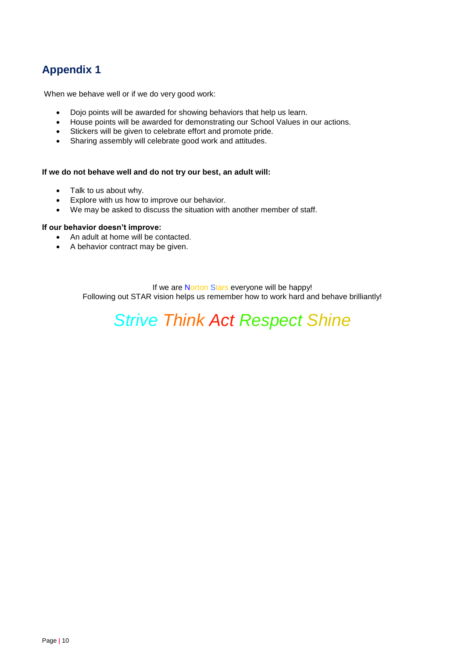# **Appendix 1**

When we behave well or if we do very good work:

- Dojo points will be awarded for showing behaviors that help us learn.
- House points will be awarded for demonstrating our School Values in our actions.
- Stickers will be given to celebrate effort and promote pride.
- Sharing assembly will celebrate good work and attitudes.

#### **If we do not behave well and do not try our best, an adult will:**

- Talk to us about why.
- Explore with us how to improve our behavior.
- We may be asked to discuss the situation with another member of staff.

#### **If our behavior doesn't improve:**

- An adult at home will be contacted.
- A behavior contract may be given.

If we are Norton Stars everyone will be happy! Following out STAR vision helps us remember how to work hard and behave brilliantly!

# *Strive Think Act Respect Shine*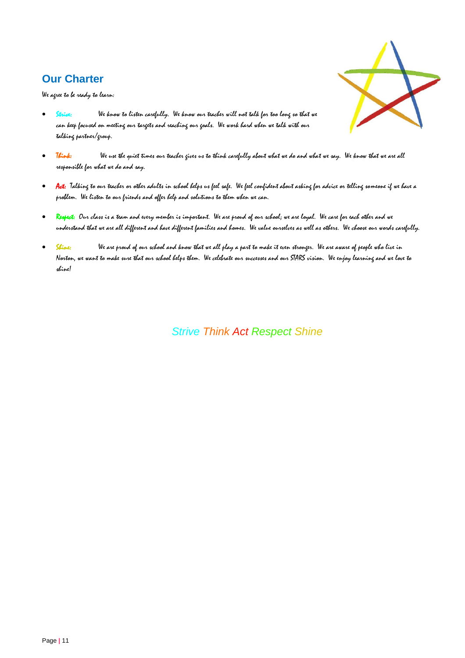# **Our Charter**

We agree to be ready to learn:



- We know to listen carefully. We know our teacher will not talk for too long so that we can keep focused on meeting our targets and reaching our goals. We work hard when we talk with our talking partner/group.
- Think: We use the quiet times our teacher gives us to think carefully about what we do and what we say. We know that we are all responsible for what we do and say.
- Act: Talking to our teacher or other adults in school helps us feel safe. We feel confident about asking for advice or telling someone if we have a problem. We listen to our friends and offer help and solutions to them when we can.
- Respect: Our class is a team and every member is important. We are proud of our school; we are loyal. We care for each other and we understand that we are all different and have different families and homes. We value ourselves as well as others. We choose our words carefully.
- Shine: We are proud of our school and know that we all play a part to make it even stronger. We are aware of people who live in Norton, we want to make sure that our school helps them. We celebrate our successes and our STARS vision. We enjoy learning and we love to shine!

 *Strive Think Act Respect Shine*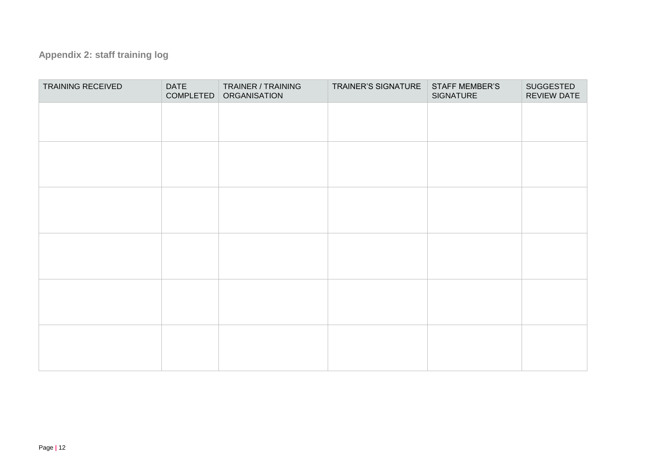# **Appendix 2: staff training log**

<span id="page-11-0"></span>

| TRAINING RECEIVED | <b>DATE</b><br>COMPLETED | TRAINER / TRAINING<br>ORGANISATION | TRAINER'S SIGNATURE | <b>STAFF MEMBER'S</b><br>SIGNATURE | SUGGESTED<br><b>REVIEW DATE</b> |
|-------------------|--------------------------|------------------------------------|---------------------|------------------------------------|---------------------------------|
|                   |                          |                                    |                     |                                    |                                 |
|                   |                          |                                    |                     |                                    |                                 |
|                   |                          |                                    |                     |                                    |                                 |
|                   |                          |                                    |                     |                                    |                                 |
|                   |                          |                                    |                     |                                    |                                 |
|                   |                          |                                    |                     |                                    |                                 |
|                   |                          |                                    |                     |                                    |                                 |
|                   |                          |                                    |                     |                                    |                                 |
|                   |                          |                                    |                     |                                    |                                 |
|                   |                          |                                    |                     |                                    |                                 |
|                   |                          |                                    |                     |                                    |                                 |
|                   |                          |                                    |                     |                                    |                                 |